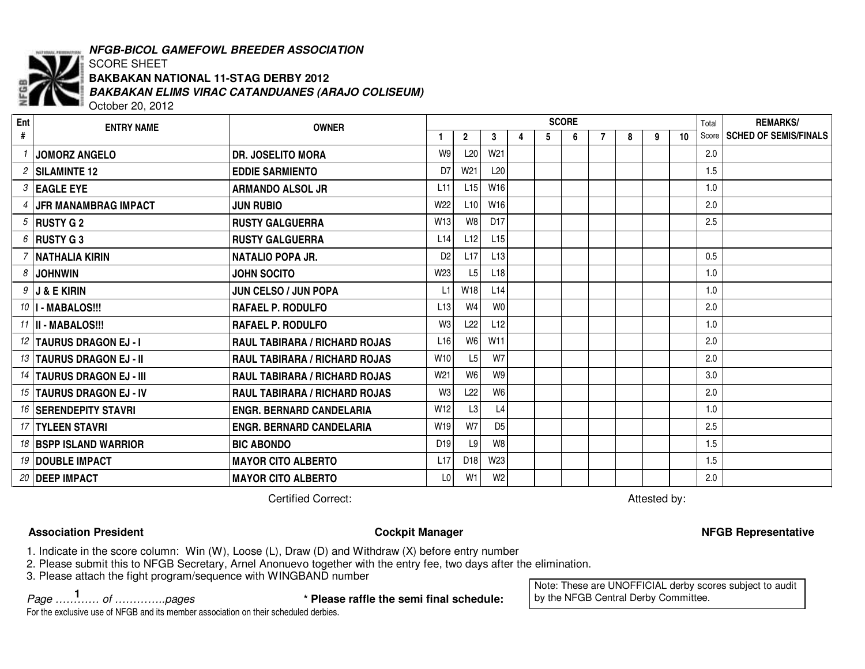

# *NFGB-BICOL GAMEFOWL BREEDER ASSOCIATION*

### SCORE SHEET *BAKBAKAN ELIMS VIRAC CATANDUANES (ARAJO COLISEUM)* October 20, 2012 **BAKBAKAN NATIONAL 11-STAG DERBY 2012**

**ENTRY NAME OWNER Ent #SCORE1 2 3 4 5 6** TotalScore**REMARKS/7 8 9 10 SCHED OF SEMIS/FINALS** *1* **JOMORZ ANGELO DR. JOSELITO MORA** W9 L20 W21 2.0 *2* **SILAMINTE 12 EDDIE SARMIENTO**0 | D7| W21| L20| | | | | | | | | 1.5 *3* **EAGLE EYE ARMANDO ALSOL JR** L11 L15 W16 1.0 *4* **JFR MANAMBRAG IMPACT JUN RUBIO** W22 L10 W16 2.0 *5* **RUSTY G 2 RUSTY GALGUERRA** W13 W8 D17 2.5 *6* **RUSTY G 3 RUSTY GALGUERRA** L14 L12 L15 *7* **NATHALIANATALIO POPA JR. POPA JR.** D2 L17 L13 0.5 *8* **JOHNWIN JOHN SOCITO** W23 L5 L18 1.0 *9* **J & E KIRIN JUN CELSO / JUN POPA** L1 W18 L14 1.0 *10* **I - MABALOS!!! RAFAEL P. RODULFO** L13 W4 W0 2.0 *11* **II - MABALOS!!! RAFAELRAFAEL P. RODULFO** 0 N3 L22 L12 | | | | | | | 1.0 *12* **TAURUS DRAGON EJ - I RAUL TABIRARA / RICHARD ROJAS** L16 W6 W11 2.0 *13* **TAURUS DRAGON EJ - II RAUL TABIRARA / RICHARD ROJAS** W10 L5 W7 2.0 *14* **TAURUS DRAGON EJ - III RAUL TABIRARA / RICHARD ROJAS** W21 W6 W9 3.0 *15* **TAURUS DRAGON EJ - IV RAUL TABIRARA / RICHARD ROJAS** W3 L22 W6 2.0 *16* **SERENDEPITY STAVRI ENGR. BERNARD CANDELARIA** W12 L3 L4 1.0 *17* **TYLEEN STAVRI ENGR. BERNARD CANDELARIA** W19 W7 D5 2.5 *18* **BSPP ISLAND WARRIOR BIC ABONDO**O | D19 | L9 | W8 | | | | | | | | 1.5 *19* **DOUBLE IMPACT MAYOR CITO ALBERTO** L17 D18 W23 1.5 *20* **DEEP IMPACT MAYORCITO ALBERTO** L0 W1 W2 2.0

**Certified Correct:** 

Attested by:

# **Association**

## **President Cockpit Manager NFGB Representative**

1. Indicate in the score column: Win (W), Loose (L), Draw (D) and Withdraw (X) before entry number

2. Please submit this to NFGB Secretary, Arnel Anonuevo together with the entry fee, two days after the elimination.

3. Please attach the fight program/sequence with WINGBAND number

*Page ………… of …………..pages* **\* Please raffle the semi final schedule: <sup>1</sup>**

Note: These are UNOFFICIAL derby scores subject to audit by the NFGB Central Derby Committee.

For the exclusive use of NFGB and its member association on their scheduled derbies.